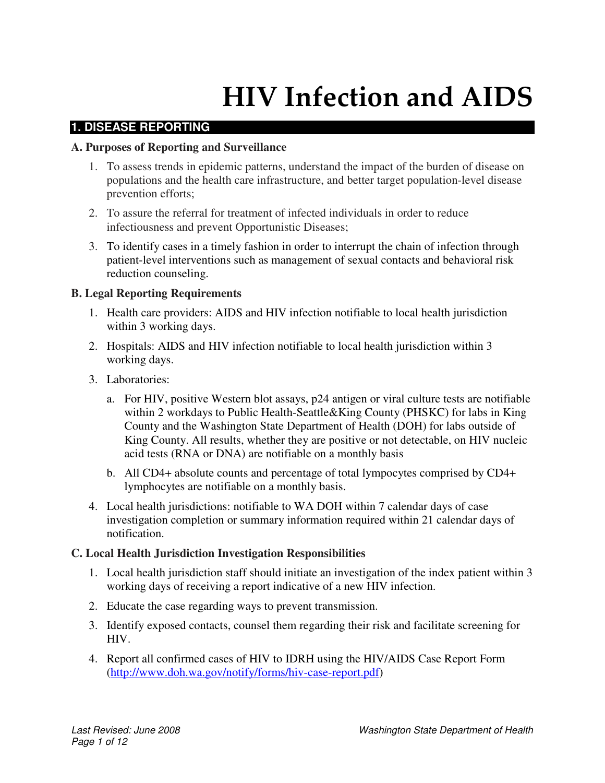# HIV Infection and AIDS

## **1. DISEASE REPORTING**

## **A. Purposes of Reporting and Surveillance**

- 1. To assess trends in epidemic patterns, understand the impact of the burden of disease on populations and the health care infrastructure, and better target population-level disease prevention efforts;
- 2. To assure the referral for treatment of infected individuals in order to reduce infectiousness and prevent Opportunistic Diseases;
- 3. To identify cases in a timely fashion in order to interrupt the chain of infection through patient-level interventions such as management of sexual contacts and behavioral risk reduction counseling.

## **B. Legal Reporting Requirements**

- 1. Health care providers: AIDS and HIV infection notifiable to local health jurisdiction within 3 working days.
- 2. Hospitals: AIDS and HIV infection notifiable to local health jurisdiction within 3 working days.
- 3. Laboratories:
	- a. For HIV, positive Western blot assays, p24 antigen or viral culture tests are notifiable within 2 workdays to Public Health-Seattle&King County (PHSKC) for labs in King County and the Washington State Department of Health (DOH) for labs outside of King County. All results, whether they are positive or not detectable, on HIV nucleic acid tests (RNA or DNA) are notifiable on a monthly basis
	- b. All CD4+ absolute counts and percentage of total lympocytes comprised by CD4+ lymphocytes are notifiable on a monthly basis.
- 4. Local health jurisdictions: notifiable to WA DOH within 7 calendar days of case investigation completion or summary information required within 21 calendar days of notification.

## **C. Local Health Jurisdiction Investigation Responsibilities**

- 1. Local health jurisdiction staff should initiate an investigation of the index patient within 3 working days of receiving a report indicative of a new HIV infection.
- 2. Educate the case regarding ways to prevent transmission.
- 3. Identify exposed contacts, counsel them regarding their risk and facilitate screening for HIV.
- 4. Report all confirmed cases of HIV to IDRH using the HIV/AIDS Case Report Form (http://www.doh.wa.gov/notify/forms/hiv-case-report.pdf)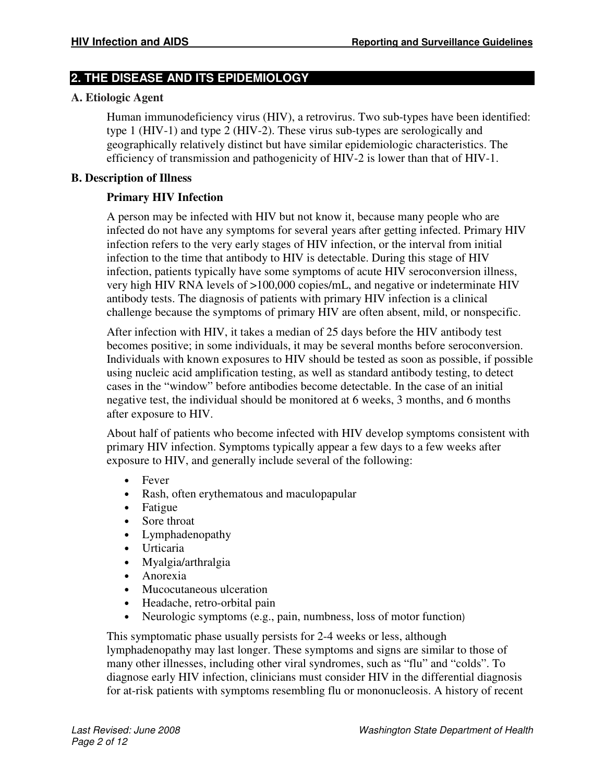# **2. THE DISEASE AND ITS EPIDEMIOLOGY**

# **A. Etiologic Agent**

Human immunodeficiency virus (HIV), a retrovirus. Two sub-types have been identified: type 1 (HIV-1) and type 2 (HIV-2). These virus sub-types are serologically and geographically relatively distinct but have similar epidemiologic characteristics. The efficiency of transmission and pathogenicity of HIV-2 is lower than that of HIV-1.

## **B. Description of Illness**

# **Primary HIV Infection**

A person may be infected with HIV but not know it, because many people who are infected do not have any symptoms for several years after getting infected. Primary HIV infection refers to the very early stages of HIV infection, or the interval from initial infection to the time that antibody to HIV is detectable. During this stage of HIV infection, patients typically have some symptoms of acute HIV seroconversion illness, very high HIV RNA levels of >100,000 copies/mL, and negative or indeterminate HIV antibody tests. The diagnosis of patients with primary HIV infection is a clinical challenge because the symptoms of primary HIV are often absent, mild, or nonspecific.

After infection with HIV, it takes a median of 25 days before the HIV antibody test becomes positive; in some individuals, it may be several months before seroconversion. Individuals with known exposures to HIV should be tested as soon as possible, if possible using nucleic acid amplification testing, as well as standard antibody testing, to detect cases in the "window" before antibodies become detectable. In the case of an initial negative test, the individual should be monitored at 6 weeks, 3 months, and 6 months after exposure to HIV.

About half of patients who become infected with HIV develop symptoms consistent with primary HIV infection. Symptoms typically appear a few days to a few weeks after exposure to HIV, and generally include several of the following:

- Fever
- Rash, often erythematous and maculopapular
- Fatigue
- Sore throat
- Lymphadenopathy
- Urticaria
- Myalgia/arthralgia
- Anorexia
- Mucocutaneous ulceration
- Headache, retro-orbital pain
- Neurologic symptoms (e.g., pain, numbness, loss of motor function)

This symptomatic phase usually persists for 2-4 weeks or less, although lymphadenopathy may last longer. These symptoms and signs are similar to those of many other illnesses, including other viral syndromes, such as "flu" and "colds". To diagnose early HIV infection, clinicians must consider HIV in the differential diagnosis for at-risk patients with symptoms resembling flu or mononucleosis. A history of recent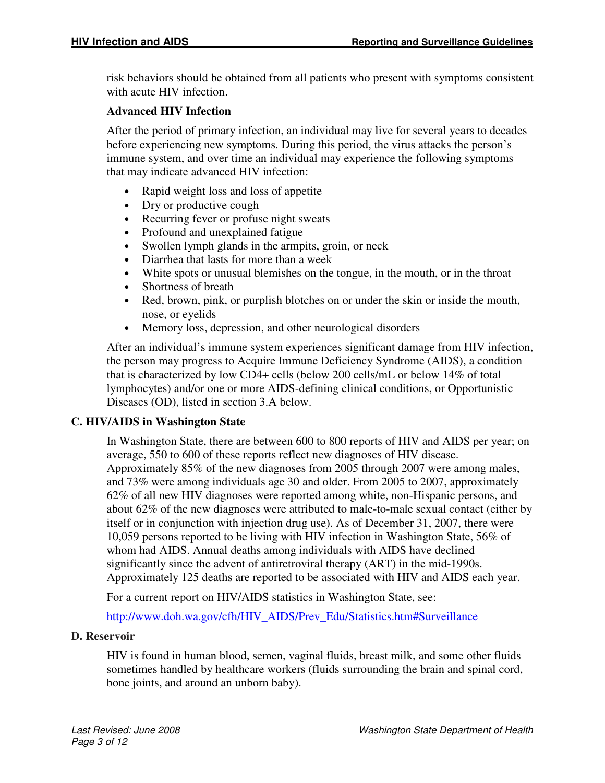risk behaviors should be obtained from all patients who present with symptoms consistent with acute HIV infection.

## **Advanced HIV Infection**

After the period of primary infection, an individual may live for several years to decades before experiencing new symptoms. During this period, the virus attacks the person's immune system, and over time an individual may experience the following symptoms that may indicate advanced HIV infection:

- Rapid weight loss and loss of appetite
- Dry or productive cough
- Recurring fever or profuse night sweats
- Profound and unexplained fatigue
- Swollen lymph glands in the armpits, groin, or neck
- Diarrhea that lasts for more than a week
- White spots or unusual blemishes on the tongue, in the mouth, or in the throat
- Shortness of breath
- Red, brown, pink, or purplish blotches on or under the skin or inside the mouth, nose, or eyelids
- Memory loss, depression, and other neurological disorders

After an individual's immune system experiences significant damage from HIV infection, the person may progress to Acquire Immune Deficiency Syndrome (AIDS), a condition that is characterized by low CD4+ cells (below 200 cells/mL or below 14% of total lymphocytes) and/or one or more AIDS-defining clinical conditions, or Opportunistic Diseases (OD), listed in section 3.A below.

## **C. HIV/AIDS in Washington State**

In Washington State, there are between 600 to 800 reports of HIV and AIDS per year; on average, 550 to 600 of these reports reflect new diagnoses of HIV disease. Approximately 85% of the new diagnoses from 2005 through 2007 were among males, and 73% were among individuals age 30 and older. From 2005 to 2007, approximately 62% of all new HIV diagnoses were reported among white, non-Hispanic persons, and about 62% of the new diagnoses were attributed to male-to-male sexual contact (either by itself or in conjunction with injection drug use). As of December 31, 2007, there were 10,059 persons reported to be living with HIV infection in Washington State, 56% of whom had AIDS. Annual deaths among individuals with AIDS have declined significantly since the advent of antiretroviral therapy (ART) in the mid-1990s. Approximately 125 deaths are reported to be associated with HIV and AIDS each year.

For a current report on HIV/AIDS statistics in Washington State, see:

http://www.doh.wa.gov/cfh/HIV\_AIDS/Prev\_Edu/Statistics.htm#Surveillance

## **D. Reservoir**

HIV is found in human blood, semen, vaginal fluids, breast milk, and some other fluids sometimes handled by healthcare workers (fluids surrounding the brain and spinal cord, bone joints, and around an unborn baby).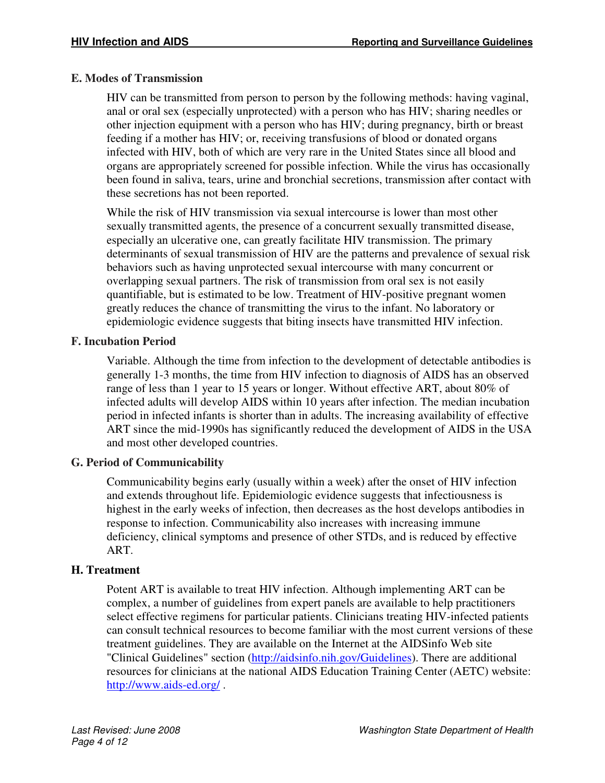## **E. Modes of Transmission**

HIV can be transmitted from person to person by the following methods: having vaginal, anal or oral sex (especially unprotected) with a person who has HIV; sharing needles or other injection equipment with a person who has HIV; during pregnancy, birth or breast feeding if a mother has HIV; or, receiving transfusions of blood or donated organs infected with HIV, both of which are very rare in the United States since all blood and organs are appropriately screened for possible infection. While the virus has occasionally been found in saliva, tears, urine and bronchial secretions, transmission after contact with these secretions has not been reported.

While the risk of HIV transmission via sexual intercourse is lower than most other sexually transmitted agents, the presence of a concurrent sexually transmitted disease, especially an ulcerative one, can greatly facilitate HIV transmission. The primary determinants of sexual transmission of HIV are the patterns and prevalence of sexual risk behaviors such as having unprotected sexual intercourse with many concurrent or overlapping sexual partners. The risk of transmission from oral sex is not easily quantifiable, but is estimated to be low. Treatment of HIV-positive pregnant women greatly reduces the chance of transmitting the virus to the infant. No laboratory or epidemiologic evidence suggests that biting insects have transmitted HIV infection.

## **F. Incubation Period**

Variable. Although the time from infection to the development of detectable antibodies is generally 1-3 months, the time from HIV infection to diagnosis of AIDS has an observed range of less than 1 year to 15 years or longer. Without effective ART, about 80% of infected adults will develop AIDS within 10 years after infection. The median incubation period in infected infants is shorter than in adults. The increasing availability of effective ART since the mid-1990s has significantly reduced the development of AIDS in the USA and most other developed countries.

# **G. Period of Communicability**

Communicability begins early (usually within a week) after the onset of HIV infection and extends throughout life. Epidemiologic evidence suggests that infectiousness is highest in the early weeks of infection, then decreases as the host develops antibodies in response to infection. Communicability also increases with increasing immune deficiency, clinical symptoms and presence of other STDs, and is reduced by effective ART.

# **H. Treatment**

Potent ART is available to treat HIV infection. Although implementing ART can be complex, a number of guidelines from expert panels are available to help practitioners select effective regimens for particular patients. Clinicians treating HIV-infected patients can consult technical resources to become familiar with the most current versions of these treatment guidelines. They are available on the Internet at the AIDSinfo Web site "Clinical Guidelines" section (http://aidsinfo.nih.gov/Guidelines). There are additional resources for clinicians at the national AIDS Education Training Center (AETC) website: http://www.aids-ed.org/ .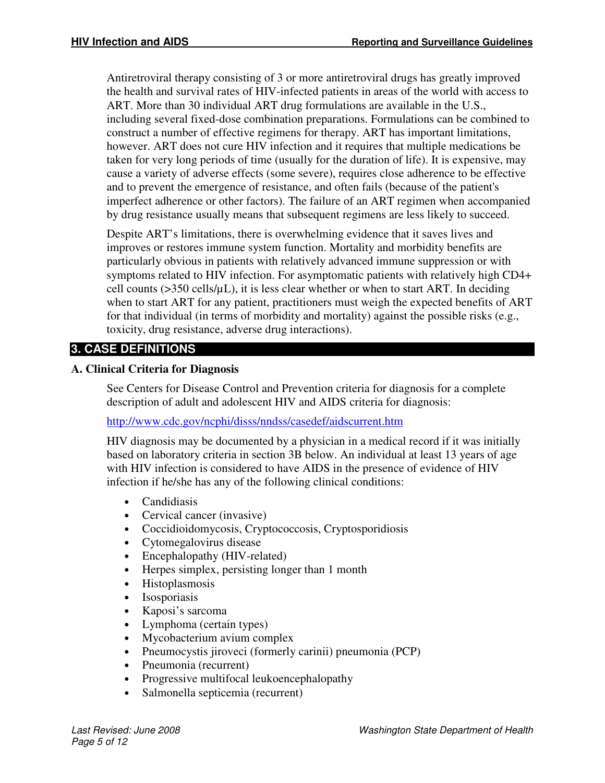Antiretroviral therapy consisting of 3 or more antiretroviral drugs has greatly improved the health and survival rates of HIV-infected patients in areas of the world with access to ART. More than 30 individual ART drug formulations are available in the U.S., including several fixed-dose combination preparations. Formulations can be combined to construct a number of effective regimens for therapy. ART has important limitations, however. ART does not cure HIV infection and it requires that multiple medications be taken for very long periods of time (usually for the duration of life). It is expensive, may cause a variety of adverse effects (some severe), requires close adherence to be effective and to prevent the emergence of resistance, and often fails (because of the patient's imperfect adherence or other factors). The failure of an ART regimen when accompanied by drug resistance usually means that subsequent regimens are less likely to succeed.

Despite ART's limitations, there is overwhelming evidence that it saves lives and improves or restores immune system function. Mortality and morbidity benefits are particularly obvious in patients with relatively advanced immune suppression or with symptoms related to HIV infection. For asymptomatic patients with relatively high CD4+ cell counts ( $>$ 350 cells/ $\mu$ L), it is less clear whether or when to start ART. In deciding when to start ART for any patient, practitioners must weigh the expected benefits of ART for that individual (in terms of morbidity and mortality) against the possible risks (e.g., toxicity, drug resistance, adverse drug interactions).

# **3. CASE DEFINITIONS**

## **A. Clinical Criteria for Diagnosis**

See Centers for Disease Control and Prevention criteria for diagnosis for a complete description of adult and adolescent HIV and AIDS criteria for diagnosis:

## http://www.cdc.gov/ncphi/disss/nndss/casedef/aidscurrent.htm

HIV diagnosis may be documented by a physician in a medical record if it was initially based on laboratory criteria in section 3B below. An individual at least 13 years of age with HIV infection is considered to have AIDS in the presence of evidence of HIV infection if he/she has any of the following clinical conditions:

- Candidiasis
- Cervical cancer (invasive)
- Coccidioidomycosis, Cryptococcosis, Cryptosporidiosis
- Cytomegalovirus disease
- Encephalopathy (HIV-related)
- Herpes simplex, persisting longer than 1 month
- Histoplasmosis
- Isosporiasis
- Kaposi's sarcoma
- Lymphoma (certain types)
- Mycobacterium avium complex
- Pneumocystis jiroveci (formerly carinii) pneumonia (PCP)
- Pneumonia (recurrent)
- Progressive multifocal leukoencephalopathy
- Salmonella septicemia (recurrent)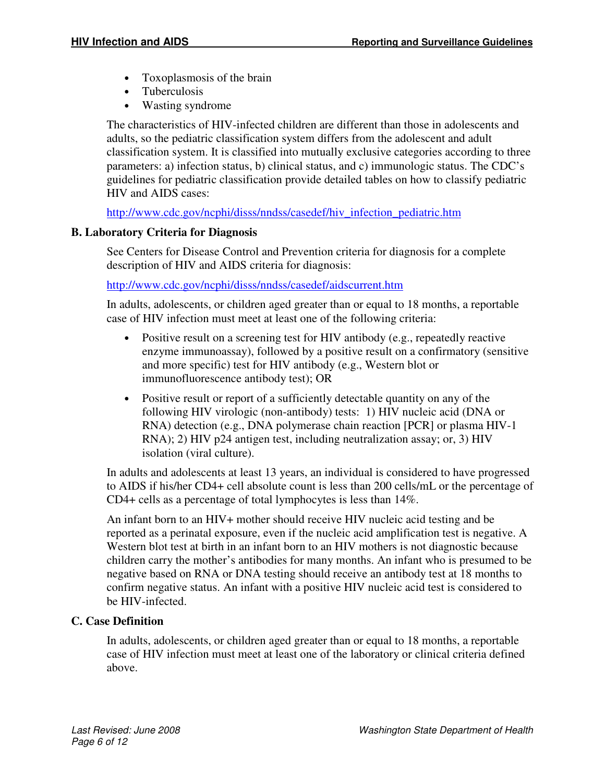- Toxoplasmosis of the brain
- Tuberculosis
- Wasting syndrome

The characteristics of HIV-infected children are different than those in adolescents and adults, so the pediatric classification system differs from the adolescent and adult classification system. It is classified into mutually exclusive categories according to three parameters: a) infection status, b) clinical status, and c) immunologic status. The CDC's guidelines for pediatric classification provide detailed tables on how to classify pediatric HIV and AIDS cases:

http://www.cdc.gov/ncphi/disss/nndss/casedef/hiv\_infection\_pediatric.htm

## **B. Laboratory Criteria for Diagnosis**

See Centers for Disease Control and Prevention criteria for diagnosis for a complete description of HIV and AIDS criteria for diagnosis:

http://www.cdc.gov/ncphi/disss/nndss/casedef/aidscurrent.htm

In adults, adolescents, or children aged greater than or equal to 18 months, a reportable case of HIV infection must meet at least one of the following criteria:

- Positive result on a screening test for HIV antibody (e.g., repeatedly reactive enzyme immunoassay), followed by a positive result on a confirmatory (sensitive and more specific) test for HIV antibody (e.g., Western blot or immunofluorescence antibody test); OR
- Positive result or report of a sufficiently detectable quantity on any of the following HIV virologic (non-antibody) tests: 1) HIV nucleic acid (DNA or RNA) detection (e.g., DNA polymerase chain reaction [PCR] or plasma HIV-1 RNA); 2) HIV p24 antigen test, including neutralization assay; or, 3) HIV isolation (viral culture).

In adults and adolescents at least 13 years, an individual is considered to have progressed to AIDS if his/her CD4+ cell absolute count is less than 200 cells/mL or the percentage of CD4+ cells as a percentage of total lymphocytes is less than 14%.

An infant born to an HIV+ mother should receive HIV nucleic acid testing and be reported as a perinatal exposure, even if the nucleic acid amplification test is negative. A Western blot test at birth in an infant born to an HIV mothers is not diagnostic because children carry the mother's antibodies for many months. An infant who is presumed to be negative based on RNA or DNA testing should receive an antibody test at 18 months to confirm negative status. An infant with a positive HIV nucleic acid test is considered to be HIV-infected.

# **C. Case Definition**

In adults, adolescents, or children aged greater than or equal to 18 months, a reportable case of HIV infection must meet at least one of the laboratory or clinical criteria defined above.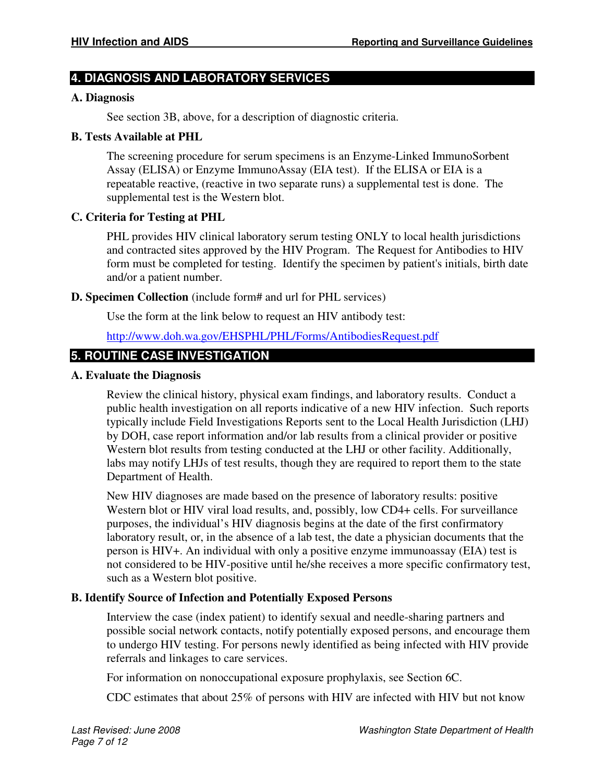# **4. DIAGNOSIS AND LABORATORY SERVICES**

#### **A. Diagnosis**

See section 3B, above, for a description of diagnostic criteria.

#### **B. Tests Available at PHL**

The screening procedure for serum specimens is an Enzyme-Linked ImmunoSorbent Assay (ELISA) or Enzyme ImmunoAssay (EIA test). If the ELISA or EIA is a repeatable reactive, (reactive in two separate runs) a supplemental test is done. The supplemental test is the Western blot.

## **C. Criteria for Testing at PHL**

PHL provides HIV clinical laboratory serum testing ONLY to local health jurisdictions and contracted sites approved by the HIV Program. The Request for Antibodies to HIV form must be completed for testing. Identify the specimen by patient's initials, birth date and/or a patient number.

#### **D. Specimen Collection** (include form# and url for PHL services)

Use the form at the link below to request an HIV antibody test:

## http://www.doh.wa.gov/EHSPHL/PHL/Forms/AntibodiesRequest.pdf

# **5. ROUTINE CASE INVESTIGATION**

#### **A. Evaluate the Diagnosis**

Review the clinical history, physical exam findings, and laboratory results. Conduct a public health investigation on all reports indicative of a new HIV infection. Such reports typically include Field Investigations Reports sent to the Local Health Jurisdiction (LHJ) by DOH, case report information and/or lab results from a clinical provider or positive Western blot results from testing conducted at the LHJ or other facility. Additionally, labs may notify LHJs of test results, though they are required to report them to the state Department of Health.

New HIV diagnoses are made based on the presence of laboratory results: positive Western blot or HIV viral load results, and, possibly, low CD4+ cells. For surveillance purposes, the individual's HIV diagnosis begins at the date of the first confirmatory laboratory result, or, in the absence of a lab test, the date a physician documents that the person is HIV+. An individual with only a positive enzyme immunoassay (EIA) test is not considered to be HIV-positive until he/she receives a more specific confirmatory test, such as a Western blot positive.

## **B. Identify Source of Infection and Potentially Exposed Persons**

Interview the case (index patient) to identify sexual and needle-sharing partners and possible social network contacts, notify potentially exposed persons, and encourage them to undergo HIV testing. For persons newly identified as being infected with HIV provide referrals and linkages to care services.

For information on nonoccupational exposure prophylaxis, see Section 6C.

CDC estimates that about 25% of persons with HIV are infected with HIV but not know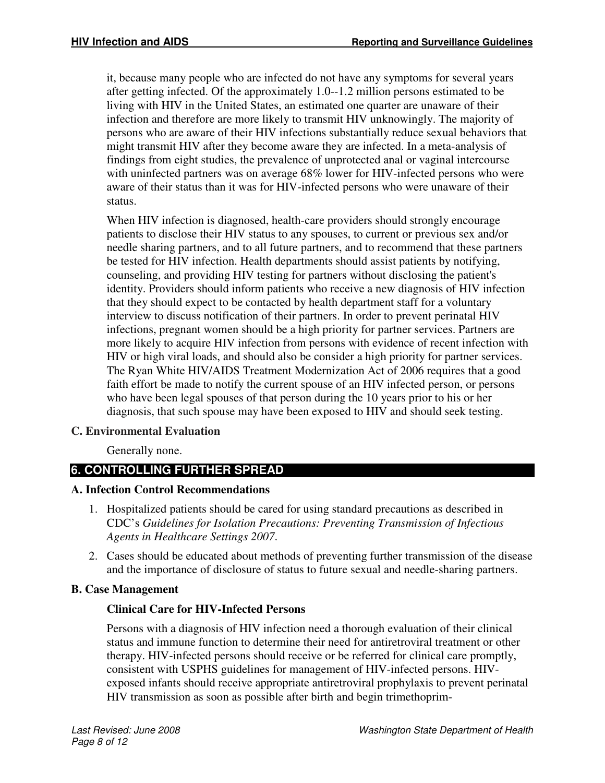it, because many people who are infected do not have any symptoms for several years after getting infected. Of the approximately 1.0--1.2 million persons estimated to be living with HIV in the United States, an estimated one quarter are unaware of their infection and therefore are more likely to transmit HIV unknowingly. The majority of persons who are aware of their HIV infections substantially reduce sexual behaviors that might transmit HIV after they become aware they are infected. In a meta-analysis of findings from eight studies, the prevalence of unprotected anal or vaginal intercourse with uninfected partners was on average 68% lower for HIV-infected persons who were aware of their status than it was for HIV-infected persons who were unaware of their status.

When HIV infection is diagnosed, health-care providers should strongly encourage patients to disclose their HIV status to any spouses, to current or previous sex and/or needle sharing partners, and to all future partners, and to recommend that these partners be tested for HIV infection. Health departments should assist patients by notifying, counseling, and providing HIV testing for partners without disclosing the patient's identity. Providers should inform patients who receive a new diagnosis of HIV infection that they should expect to be contacted by health department staff for a voluntary interview to discuss notification of their partners. In order to prevent perinatal HIV infections, pregnant women should be a high priority for partner services. Partners are more likely to acquire HIV infection from persons with evidence of recent infection with HIV or high viral loads, and should also be consider a high priority for partner services. The Ryan White HIV/AIDS Treatment Modernization Act of 2006 requires that a good faith effort be made to notify the current spouse of an HIV infected person, or persons who have been legal spouses of that person during the 10 years prior to his or her diagnosis, that such spouse may have been exposed to HIV and should seek testing.

# **C. Environmental Evaluation**

Generally none.

# **6. CONTROLLING FURTHER SPREAD**

# **A. Infection Control Recommendations**

- 1. Hospitalized patients should be cared for using standard precautions as described in CDC's *Guidelines for Isolation Precautions: Preventing Transmission of Infectious Agents in Healthcare Settings 2007*.
- 2. Cases should be educated about methods of preventing further transmission of the disease and the importance of disclosure of status to future sexual and needle-sharing partners.

# **B. Case Management**

# **Clinical Care for HIV-Infected Persons**

Persons with a diagnosis of HIV infection need a thorough evaluation of their clinical status and immune function to determine their need for antiretroviral treatment or other therapy. HIV-infected persons should receive or be referred for clinical care promptly, consistent with USPHS guidelines for management of HIV-infected persons. HIVexposed infants should receive appropriate antiretroviral prophylaxis to prevent perinatal HIV transmission as soon as possible after birth and begin trimethoprim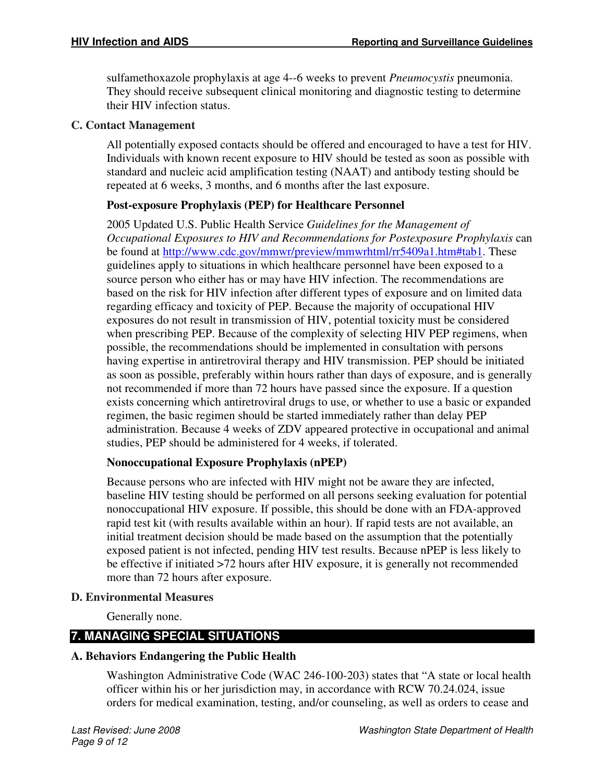sulfamethoxazole prophylaxis at age 4--6 weeks to prevent *Pneumocystis* pneumonia. They should receive subsequent clinical monitoring and diagnostic testing to determine their HIV infection status.

## **C. Contact Management**

All potentially exposed contacts should be offered and encouraged to have a test for HIV. Individuals with known recent exposure to HIV should be tested as soon as possible with standard and nucleic acid amplification testing (NAAT) and antibody testing should be repeated at 6 weeks, 3 months, and 6 months after the last exposure.

# **Post-exposure Prophylaxis (PEP) for Healthcare Personnel**

2005 Updated U.S. Public Health Service *Guidelines for the Management of Occupational Exposures to HIV and Recommendations for Postexposure Prophylaxis* can be found at http://www.cdc.gov/mmwr/preview/mmwrhtml/rr5409a1.htm#tab1. These guidelines apply to situations in which healthcare personnel have been exposed to a source person who either has or may have HIV infection. The recommendations are based on the risk for HIV infection after different types of exposure and on limited data regarding efficacy and toxicity of PEP. Because the majority of occupational HIV exposures do not result in transmission of HIV, potential toxicity must be considered when prescribing PEP. Because of the complexity of selecting HIV PEP regimens, when possible, the recommendations should be implemented in consultation with persons having expertise in antiretroviral therapy and HIV transmission. PEP should be initiated as soon as possible, preferably within hours rather than days of exposure, and is generally not recommended if more than 72 hours have passed since the exposure. If a question exists concerning which antiretroviral drugs to use, or whether to use a basic or expanded regimen, the basic regimen should be started immediately rather than delay PEP administration. Because 4 weeks of ZDV appeared protective in occupational and animal studies, PEP should be administered for 4 weeks, if tolerated.

# **Nonoccupational Exposure Prophylaxis (nPEP)**

Because persons who are infected with HIV might not be aware they are infected, baseline HIV testing should be performed on all persons seeking evaluation for potential nonoccupational HIV exposure. If possible, this should be done with an FDA-approved rapid test kit (with results available within an hour). If rapid tests are not available, an initial treatment decision should be made based on the assumption that the potentially exposed patient is not infected, pending HIV test results. Because nPEP is less likely to be effective if initiated >72 hours after HIV exposure, it is generally not recommended more than 72 hours after exposure.

# **D. Environmental Measures**

Generally none.

# **7. MANAGING SPECIAL SITUATIONS**

# **A. Behaviors Endangering the Public Health**

Washington Administrative Code (WAC 246-100-203) states that "A state or local health officer within his or her jurisdiction may, in accordance with RCW 70.24.024, issue orders for medical examination, testing, and/or counseling, as well as orders to cease and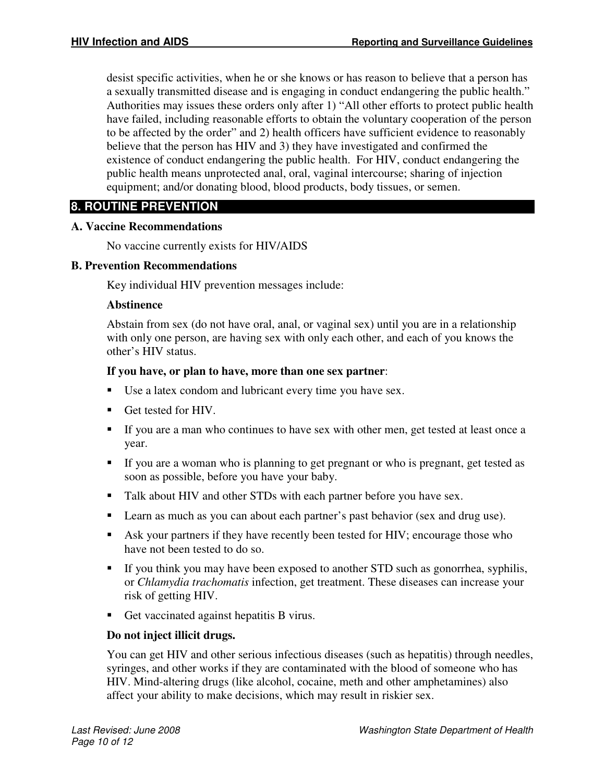desist specific activities, when he or she knows or has reason to believe that a person has a sexually transmitted disease and is engaging in conduct endangering the public health." Authorities may issues these orders only after 1) "All other efforts to protect public health have failed, including reasonable efforts to obtain the voluntary cooperation of the person to be affected by the order" and 2) health officers have sufficient evidence to reasonably believe that the person has HIV and 3) they have investigated and confirmed the existence of conduct endangering the public health. For HIV, conduct endangering the public health means unprotected anal, oral, vaginal intercourse; sharing of injection equipment; and/or donating blood, blood products, body tissues, or semen.

# **8. ROUTINE PREVENTION**

## **A. Vaccine Recommendations**

No vaccine currently exists for HIV/AIDS

## **B. Prevention Recommendations**

Key individual HIV prevention messages include:

## **Abstinence**

Abstain from sex (do not have oral, anal, or vaginal sex) until you are in a relationship with only one person, are having sex with only each other, and each of you knows the other's HIV status.

## **If you have, or plan to have, more than one sex partner**:

- Use a latex condom and lubricant every time you have sex.
- Get tested for HIV.
- If you are a man who continues to have sex with other men, get tested at least once a year.
- If you are a woman who is planning to get pregnant or who is pregnant, get tested as soon as possible, before you have your baby.
- Talk about HIV and other STDs with each partner before you have sex.
- **Learn as much as you can about each partner's past behavior (sex and drug use).**
- Ask your partners if they have recently been tested for HIV; encourage those who have not been tested to do so.
- If you think you may have been exposed to another STD such as gonorrhea, syphilis, or *Chlamydia trachomatis* infection, get treatment. These diseases can increase your risk of getting HIV.
- Get vaccinated against hepatitis B virus.

# **Do not inject illicit drugs.**

You can get HIV and other serious infectious diseases (such as hepatitis) through needles, syringes, and other works if they are contaminated with the blood of someone who has HIV. Mind-altering drugs (like alcohol, cocaine, meth and other amphetamines) also affect your ability to make decisions, which may result in riskier sex.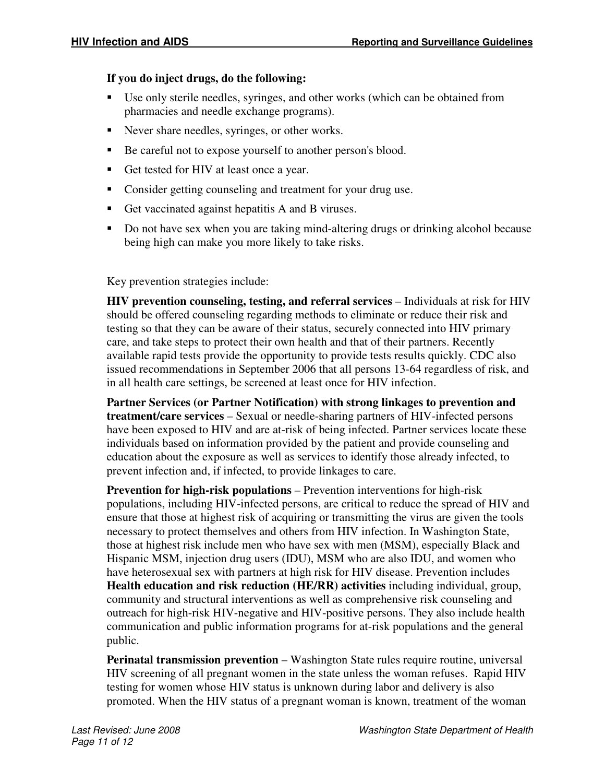# **If you do inject drugs, do the following:**

- Use only sterile needles, syringes, and other works (which can be obtained from pharmacies and needle exchange programs).
- Never share needles, syringes, or other works.
- Be careful not to expose yourself to another person's blood.
- Get tested for HIV at least once a year.
- Consider getting counseling and treatment for your drug use.
- Get vaccinated against hepatitis A and B viruses.
- Do not have sex when you are taking mind-altering drugs or drinking alcohol because being high can make you more likely to take risks.

Key prevention strategies include:

**HIV prevention counseling, testing, and referral services** – Individuals at risk for HIV should be offered counseling regarding methods to eliminate or reduce their risk and testing so that they can be aware of their status, securely connected into HIV primary care, and take steps to protect their own health and that of their partners. Recently available rapid tests provide the opportunity to provide tests results quickly. CDC also issued recommendations in September 2006 that all persons 13-64 regardless of risk, and in all health care settings, be screened at least once for HIV infection.

**Partner Services (or Partner Notification) with strong linkages to prevention and treatment/care services** – Sexual or needle-sharing partners of HIV-infected persons have been exposed to HIV and are at-risk of being infected. Partner services locate these individuals based on information provided by the patient and provide counseling and education about the exposure as well as services to identify those already infected, to prevent infection and, if infected, to provide linkages to care.

**Prevention for high-risk populations** – Prevention interventions for high-risk populations, including HIV-infected persons, are critical to reduce the spread of HIV and ensure that those at highest risk of acquiring or transmitting the virus are given the tools necessary to protect themselves and others from HIV infection. In Washington State, those at highest risk include men who have sex with men (MSM), especially Black and Hispanic MSM, injection drug users (IDU), MSM who are also IDU, and women who have heterosexual sex with partners at high risk for HIV disease. Prevention includes **Health education and risk reduction (HE/RR) activities** including individual, group, community and structural interventions as well as comprehensive risk counseling and outreach for high-risk HIV-negative and HIV-positive persons. They also include health communication and public information programs for at-risk populations and the general public.

**Perinatal transmission prevention** – Washington State rules require routine, universal HIV screening of all pregnant women in the state unless the woman refuses. Rapid HIV testing for women whose HIV status is unknown during labor and delivery is also promoted. When the HIV status of a pregnant woman is known, treatment of the woman